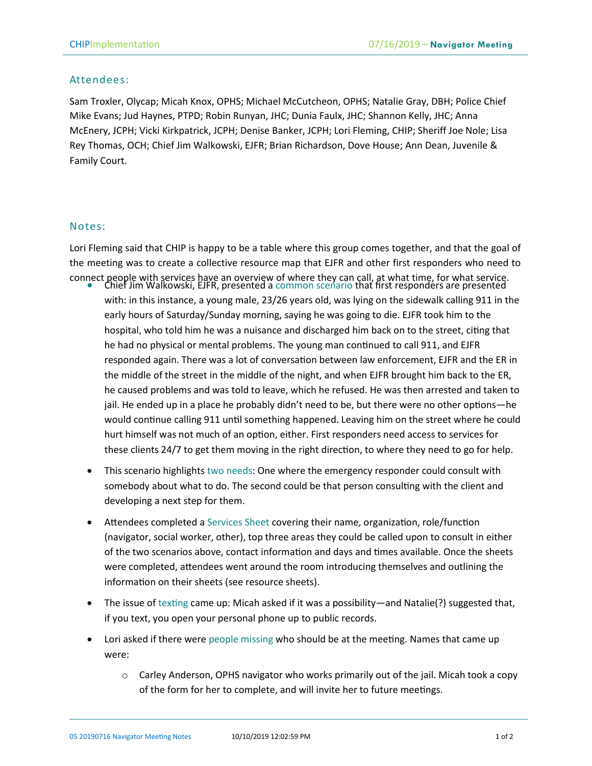## Attendees:

Sam Troxler, Olycap; Micah Knox, OPHS; Michael McCutcheon, OPHS; Natalie Gray, DBH; Police Chief Mike Evans; Jud Haynes, PTPD; Robin Runyan, JHC; Dunia Faulx, JHC; Shannon Kelly, JHC; Anna McEnery, JCPH; Vicki Kirkpatrick, JCPH; Denise Banker, JCPH; Lori Fleming, CHIP; Sheriff Joe Nole; Lisa Rey Thomas, OCH; Chief Jim Walkowski, EJFR; Brian Richardson, Dove House; Ann Dean, Juvenile & Family Court.

## Notes:

Lori Fleming said that CHIP is happy to be a table where this group comes together, and that the goal of the meeting was to create a collective resource map that EJFR and other first responders who need to connect people with services have an overview of where they can call, at what time, for what service. • Chief Jim Walkowski, EJFR, presented a common scenario that first responders are presented

- with: in this instance, a young male, 23/26 years old, was lying on the sidewalk calling 911 in the early hours of Saturday/Sunday morning, saying he was going to die. EJFR took him to the hospital, who told him he was a nuisance and discharged him back on to the street, citing that he had no physical or mental problems. The young man continued to call 911, and EJFR responded again. There was a lot of conversation between law enforcement, EJFR and the ER in the middle of the street in the middle of the night, and when EJFR brought him back to the ER, he caused problems and was told to leave, which he refused. He was then arrested and taken to jail. He ended up in a place he probably didn't need to be, but there were no other options—he would continue calling 911 until something happened. Leaving him on the street where he could hurt himself was not much of an option, either. First responders need access to services for these clients 24/7 to get them moving in the right direction, to where they need to go for help.
- This scenario highlights two needs: One where the emergency responder could consult with somebody about what to do. The second could be that person consulting with the client and developing a next step for them.
- Attendees completed a Services Sheet covering their name, organization, role/function (navigator, social worker, other), top three areas they could be called upon to consult in either of the two scenarios above, contact information and days and times available. Once the sheets were completed, attendees went around the room introducing themselves and outlining the information on their sheets (see resource sheets).
- The issue of texting came up: Micah asked if it was a possibility—and Natalie(?) suggested that, if you text, you open your personal phone up to public records.
- Lori asked if there were people missing who should be at the meeting. Names that came up were:
	- $\circ$  Carley Anderson, OPHS navigator who works primarily out of the jail. Micah took a copy of the form for her to complete, and will invite her to future meetings.